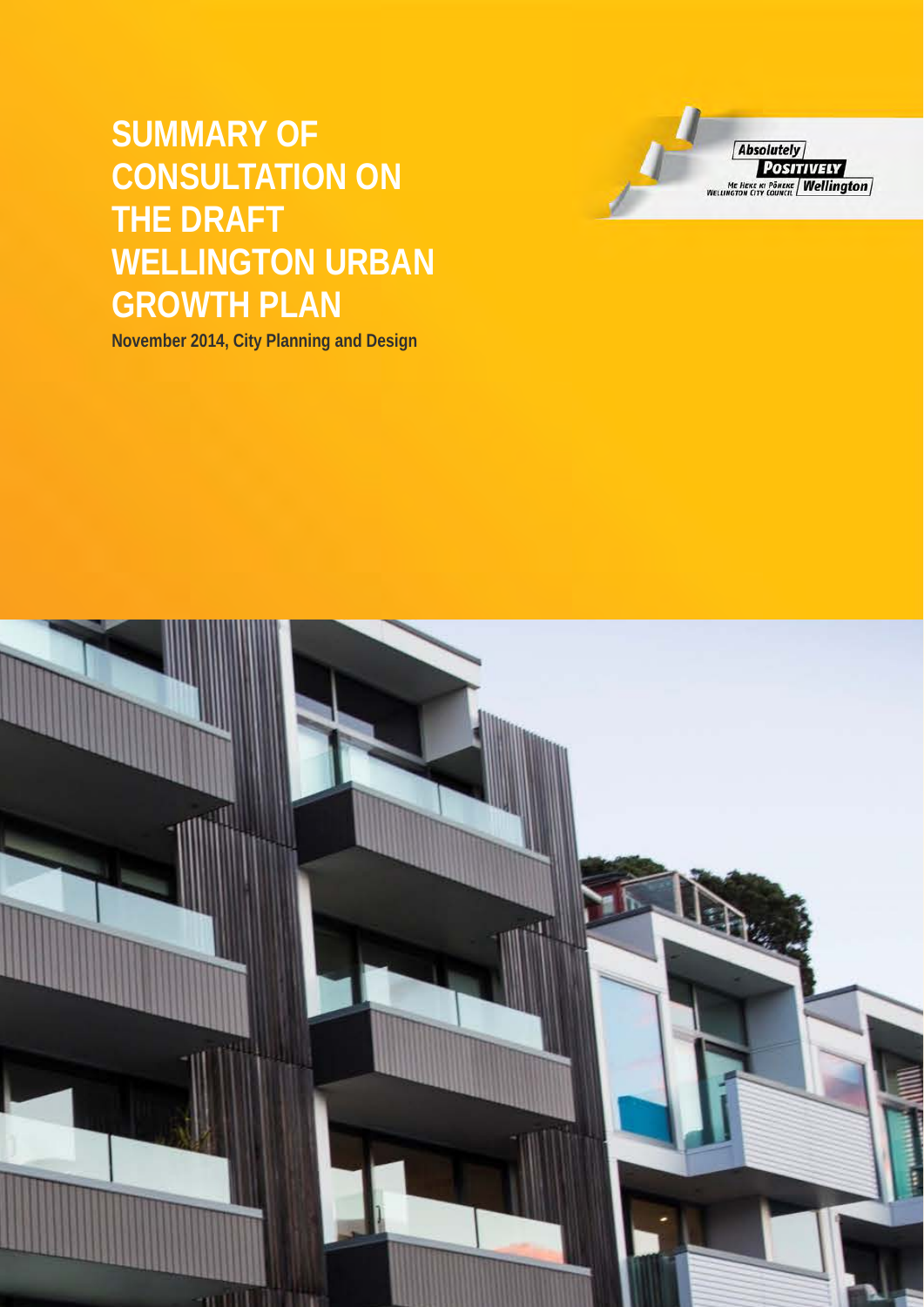# **SUMMARY OF CONSULTATION ON THE DRAFT WELLINGTON URBAN GROWTH PLAN**

**November 2014, City Planning and Design** 



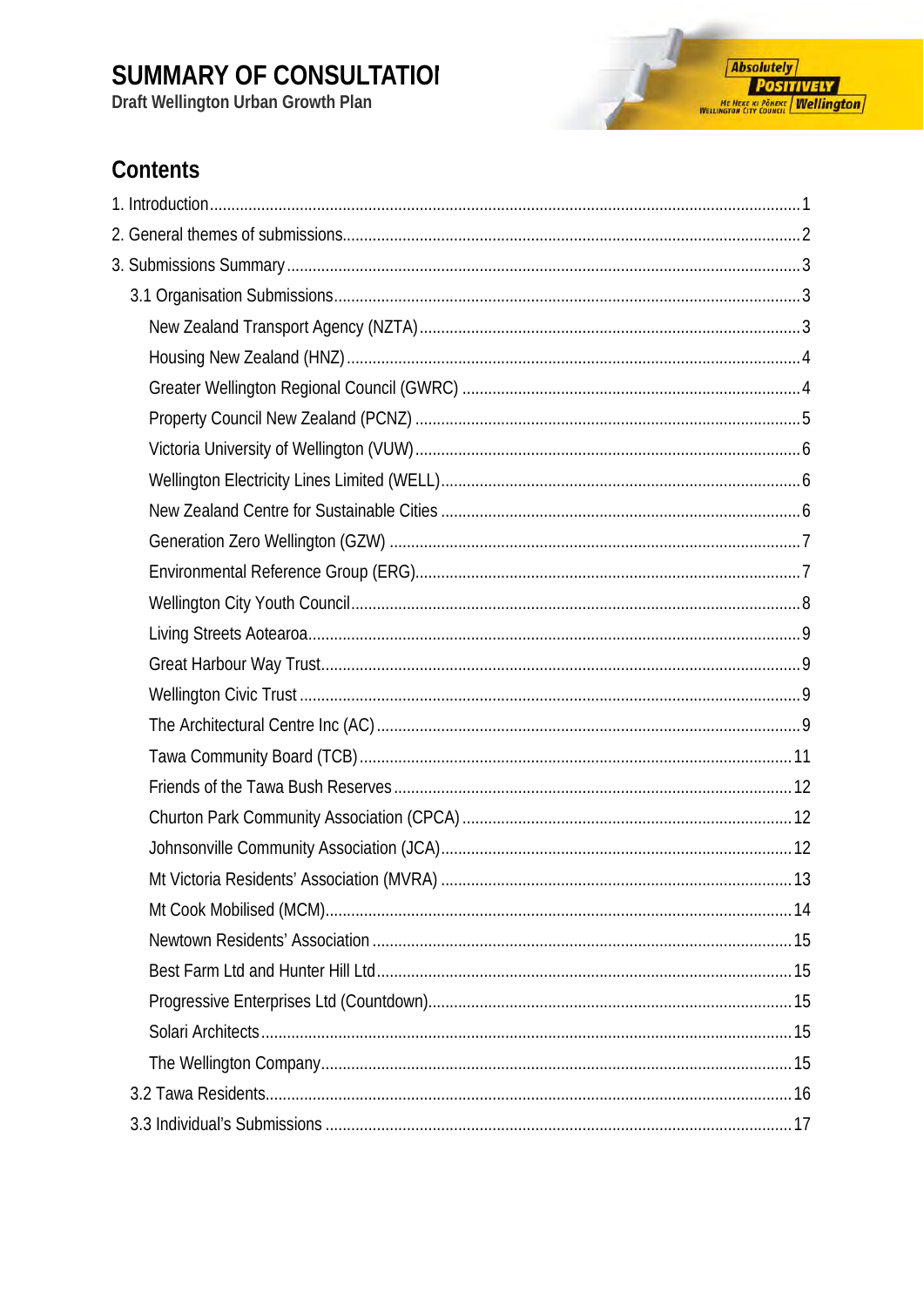Draft Wellington Urban Growth Plan

### Contents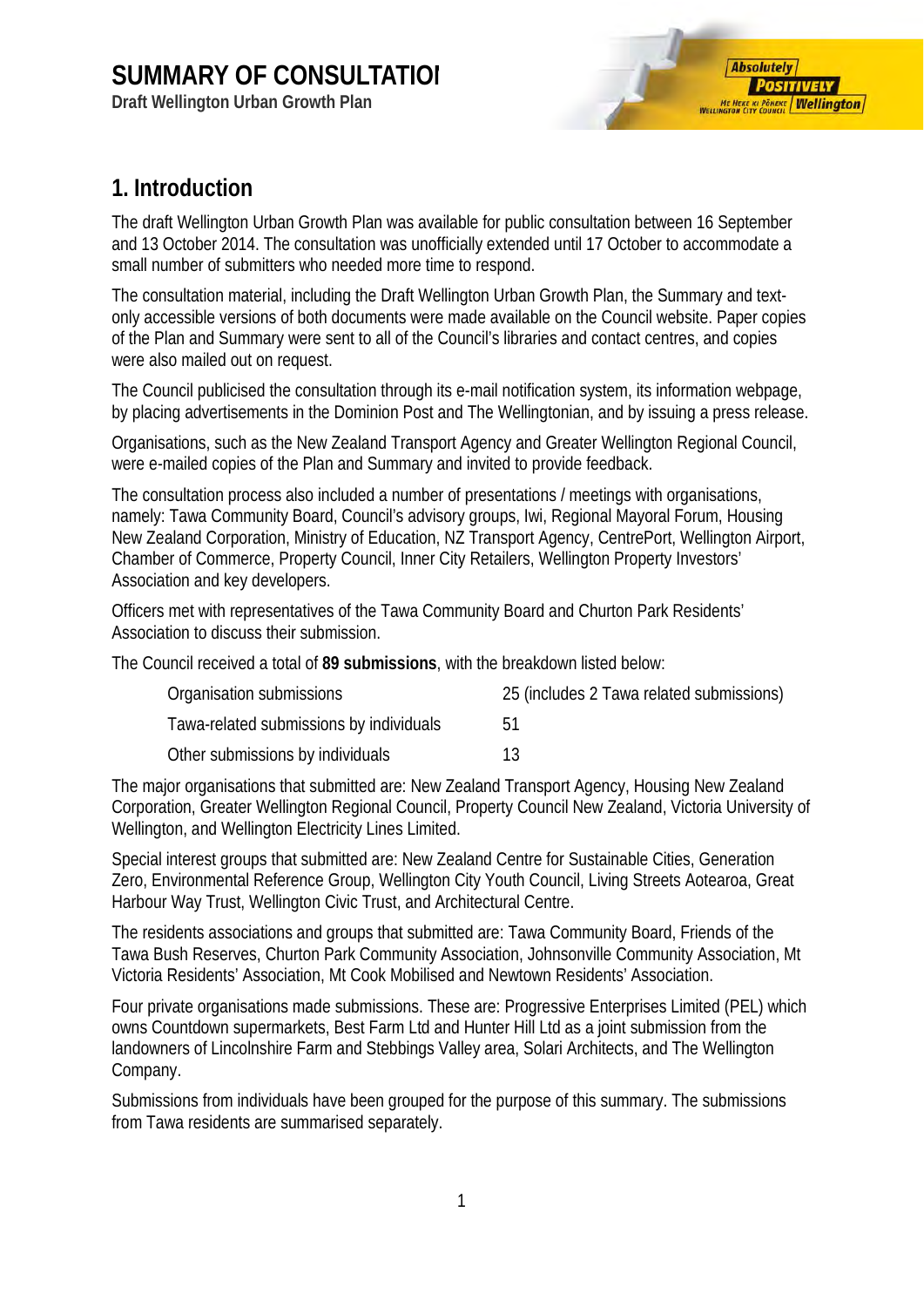**Draft Wellington Urban Growth Plan**



### <span id="page-2-0"></span>**1. Introduction**

The draft Wellington Urban Growth Plan was available for public consultation between 16 September and 13 October 2014. The consultation was unofficially extended until 17 October to accommodate a small number of submitters who needed more time to respond.

The consultation material, including the Draft Wellington Urban Growth Plan, the Summary and textonly accessible versions of both documents were made available on the Council website. Paper copies of the Plan and Summary were sent to all of the Council's libraries and contact centres, and copies were also mailed out on request.

The Council publicised the consultation through its e-mail notification system, its information webpage, by placing advertisements in the Dominion Post and The Wellingtonian, and by issuing a press release.

Organisations, such as the New Zealand Transport Agency and Greater Wellington Regional Council, were e-mailed copies of the Plan and Summary and invited to provide feedback.

The consultation process also included a number of presentations / meetings with organisations, namely: Tawa Community Board, Council's advisory groups, Iwi, Regional Mayoral Forum, Housing New Zealand Corporation, Ministry of Education, NZ Transport Agency, CentrePort, Wellington Airport, Chamber of Commerce, Property Council, Inner City Retailers, Wellington Property Investors' Association and key developers.

Officers met with representatives of the Tawa Community Board and Churton Park Residents' Association to discuss their submission.

The Council received a total of **89 submissions**, with the breakdown listed below:

| Organisation submissions                | 25 (includes 2 Tawa related submissions) |
|-----------------------------------------|------------------------------------------|
| Tawa-related submissions by individuals | <b>51</b>                                |
| Other submissions by individuals        | 13                                       |

The major organisations that submitted are: New Zealand Transport Agency, Housing New Zealand Corporation, Greater Wellington Regional Council, Property Council New Zealand, Victoria University of Wellington, and Wellington Electricity Lines Limited.

Special interest groups that submitted are: New Zealand Centre for Sustainable Cities, Generation Zero, Environmental Reference Group, Wellington City Youth Council, Living Streets Aotearoa, Great Harbour Way Trust, Wellington Civic Trust, and Architectural Centre.

The residents associations and groups that submitted are: Tawa Community Board, Friends of the Tawa Bush Reserves, Churton Park Community Association, Johnsonville Community Association, Mt Victoria Residents' Association, Mt Cook Mobilised and Newtown Residents' Association.

Four private organisations made submissions. These are: Progressive Enterprises Limited (PEL) which owns Countdown supermarkets, Best Farm Ltd and Hunter Hill Ltd as a joint submission from the landowners of Lincolnshire Farm and Stebbings Valley area, Solari Architects, and The Wellington Company.

Submissions from individuals have been grouped for the purpose of this summary. The submissions from Tawa residents are summarised separately.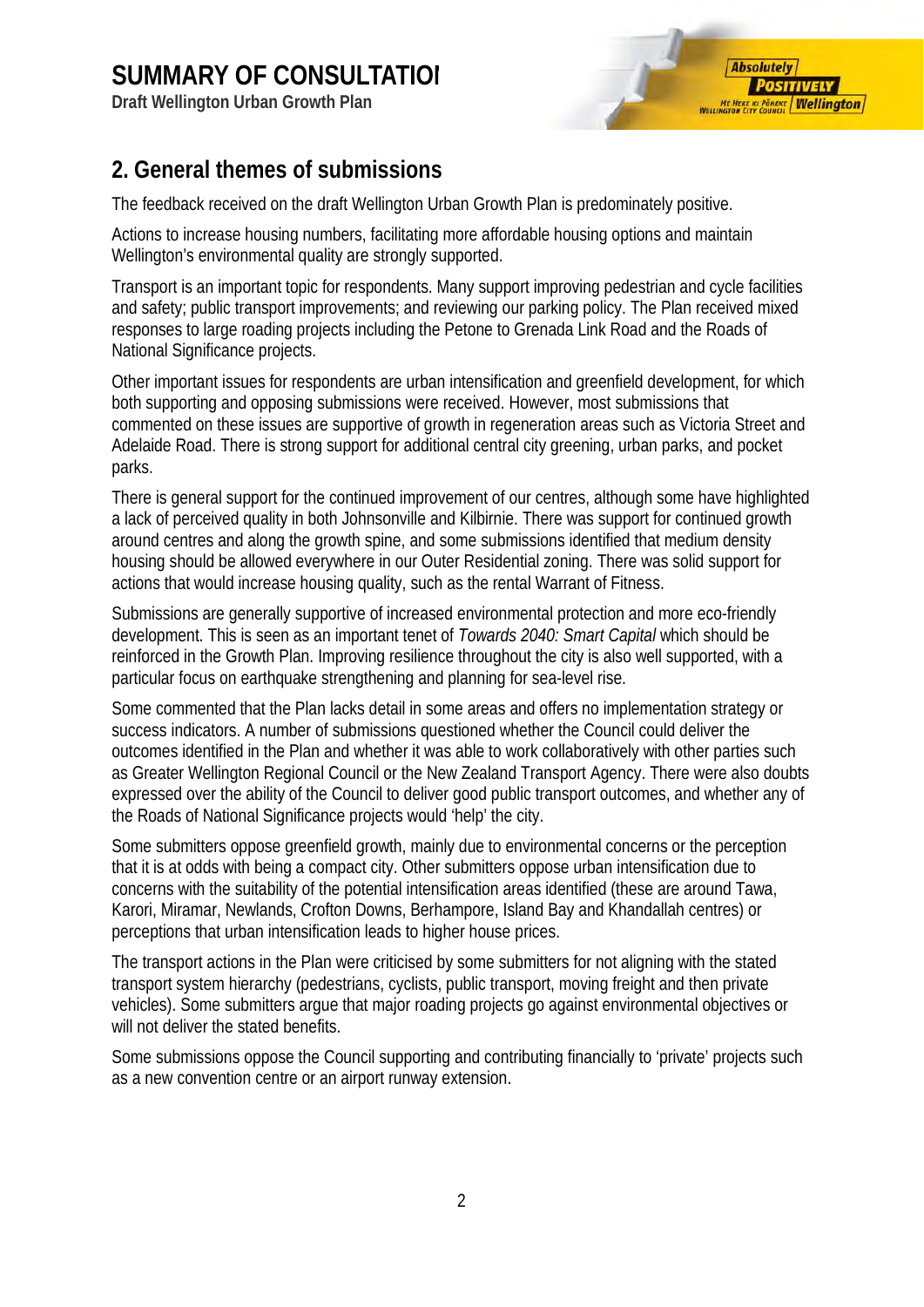**Draft Wellington Urban Growth Plan**

### <span id="page-3-0"></span>**2. General themes of submissions**

The feedback received on the draft Wellington Urban Growth Plan is predominately positive.

Actions to increase housing numbers, facilitating more affordable housing options and maintain Wellington's environmental quality are strongly supported.

Transport is an important topic for respondents. Many support improving pedestrian and cycle facilities and safety; public transport improvements; and reviewing our parking policy. The Plan received mixed responses to large roading projects including the Petone to Grenada Link Road and the Roads of National Significance projects.

Other important issues for respondents are urban intensification and greenfield development, for which both supporting and opposing submissions were received. However, most submissions that commented on these issues are supportive of growth in regeneration areas such as Victoria Street and Adelaide Road. There is strong support for additional central city greening, urban parks, and pocket parks.

There is general support for the continued improvement of our centres, although some have highlighted a lack of perceived quality in both Johnsonville and Kilbirnie. There was support for continued growth around centres and along the growth spine, and some submissions identified that medium density housing should be allowed everywhere in our Outer Residential zoning. There was solid support for actions that would increase housing quality, such as the rental Warrant of Fitness.

Submissions are generally supportive of increased environmental protection and more eco-friendly development. This is seen as an important tenet of *Towards 2040: Smart Capital* which should be reinforced in the Growth Plan. Improving resilience throughout the city is also well supported, with a particular focus on earthquake strengthening and planning for sea-level rise.

Some commented that the Plan lacks detail in some areas and offers no implementation strategy or success indicators. A number of submissions questioned whether the Council could deliver the outcomes identified in the Plan and whether it was able to work collaboratively with other parties such as Greater Wellington Regional Council or the New Zealand Transport Agency. There were also doubts expressed over the ability of the Council to deliver good public transport outcomes, and whether any of the Roads of National Significance projects would 'help' the city.

Some submitters oppose greenfield growth, mainly due to environmental concerns or the perception that it is at odds with being a compact city. Other submitters oppose urban intensification due to concerns with the suitability of the potential intensification areas identified (these are around Tawa, Karori, Miramar, Newlands, Crofton Downs, Berhampore, Island Bay and Khandallah centres) or perceptions that urban intensification leads to higher house prices.

The transport actions in the Plan were criticised by some submitters for not aligning with the stated transport system hierarchy (pedestrians, cyclists, public transport, moving freight and then private vehicles). Some submitters argue that major roading projects go against environmental objectives or will not deliver the stated benefits.

Some submissions oppose the Council supporting and contributing financially to 'private' projects such as a new convention centre or an airport runway extension.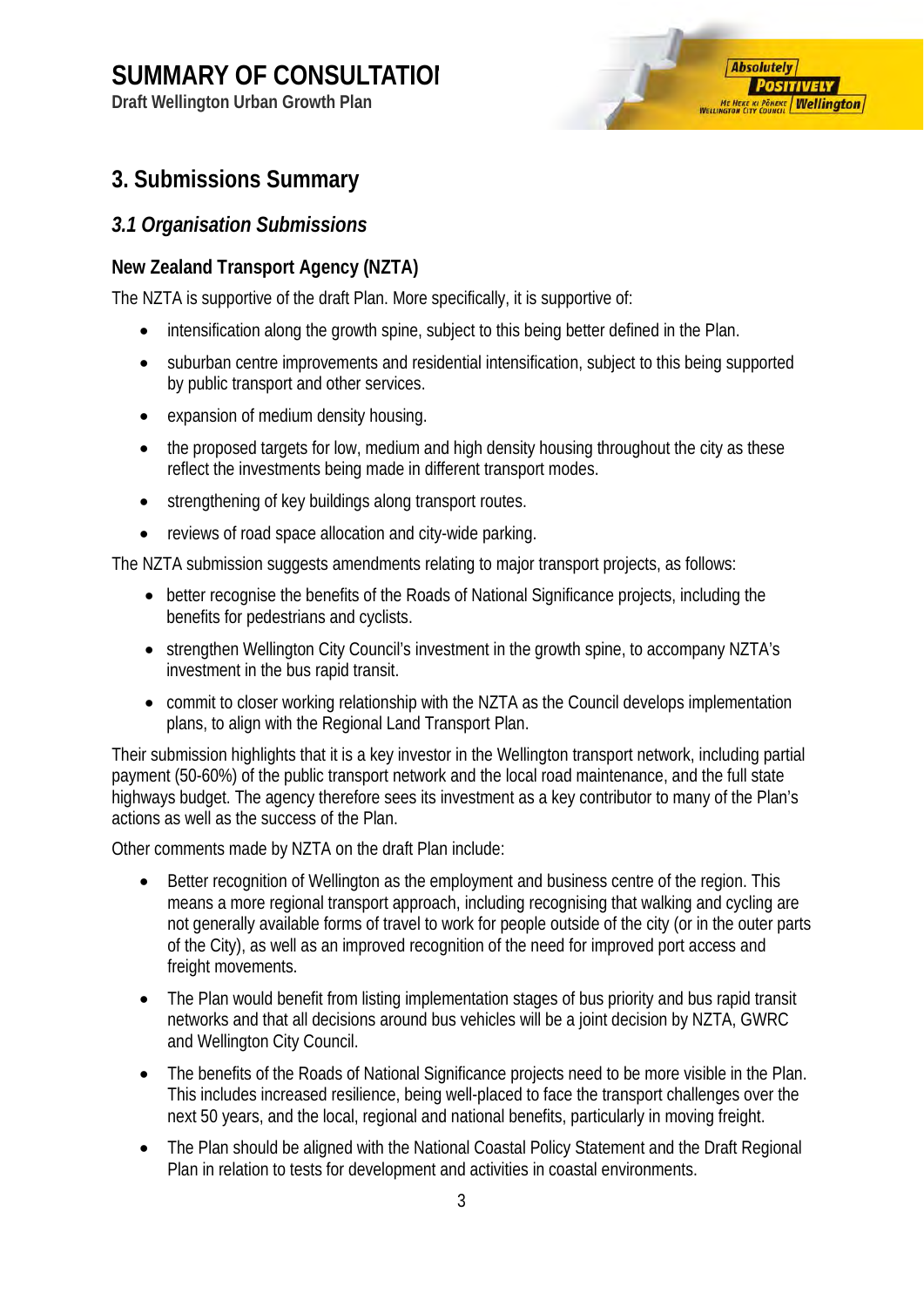**Draft Wellington Urban Growth Plan**

## **Absolutely POSITIVELY ME HEKE KI PÖNEKE Wellington**

### <span id="page-4-0"></span>**3. Submissions Summary**

#### <span id="page-4-1"></span>*3.1 Organisation Submissions*

#### <span id="page-4-2"></span>**New Zealand Transport Agency (NZTA)**

The NZTA is supportive of the draft Plan. More specifically, it is supportive of:

- intensification along the growth spine, subject to this being better defined in the Plan.
- suburban centre improvements and residential intensification, subject to this being supported by public transport and other services.
- expansion of medium density housing.
- the proposed targets for low, medium and high density housing throughout the city as these reflect the investments being made in different transport modes.
- strengthening of key buildings along transport routes.
- reviews of road space allocation and city-wide parking.

The NZTA submission suggests amendments relating to major transport projects, as follows:

- better recognise the benefits of the Roads of National Significance projects, including the benefits for pedestrians and cyclists.
- strengthen Wellington City Council's investment in the growth spine, to accompany NZTA's investment in the bus rapid transit.
- commit to closer working relationship with the NZTA as the Council develops implementation plans, to align with the Regional Land Transport Plan.

Their submission highlights that it is a key investor in the Wellington transport network, including partial payment (50-60%) of the public transport network and the local road maintenance, and the full state highways budget. The agency therefore sees its investment as a key contributor to many of the Plan's actions as well as the success of the Plan.

Other comments made by NZTA on the draft Plan include:

- Better recognition of Wellington as the employment and business centre of the region. This means a more regional transport approach, including recognising that walking and cycling are not generally available forms of travel to work for people outside of the city (or in the outer parts of the City), as well as an improved recognition of the need for improved port access and freight movements.
- The Plan would benefit from listing implementation stages of bus priority and bus rapid transit networks and that all decisions around bus vehicles will be a joint decision by NZTA, GWRC and Wellington City Council.
- The benefits of the Roads of National Significance projects need to be more visible in the Plan. This includes increased resilience, being well-placed to face the transport challenges over the next 50 years, and the local, regional and national benefits, particularly in moving freight.
- The Plan should be aligned with the National Coastal Policy Statement and the Draft Regional Plan in relation to tests for development and activities in coastal environments.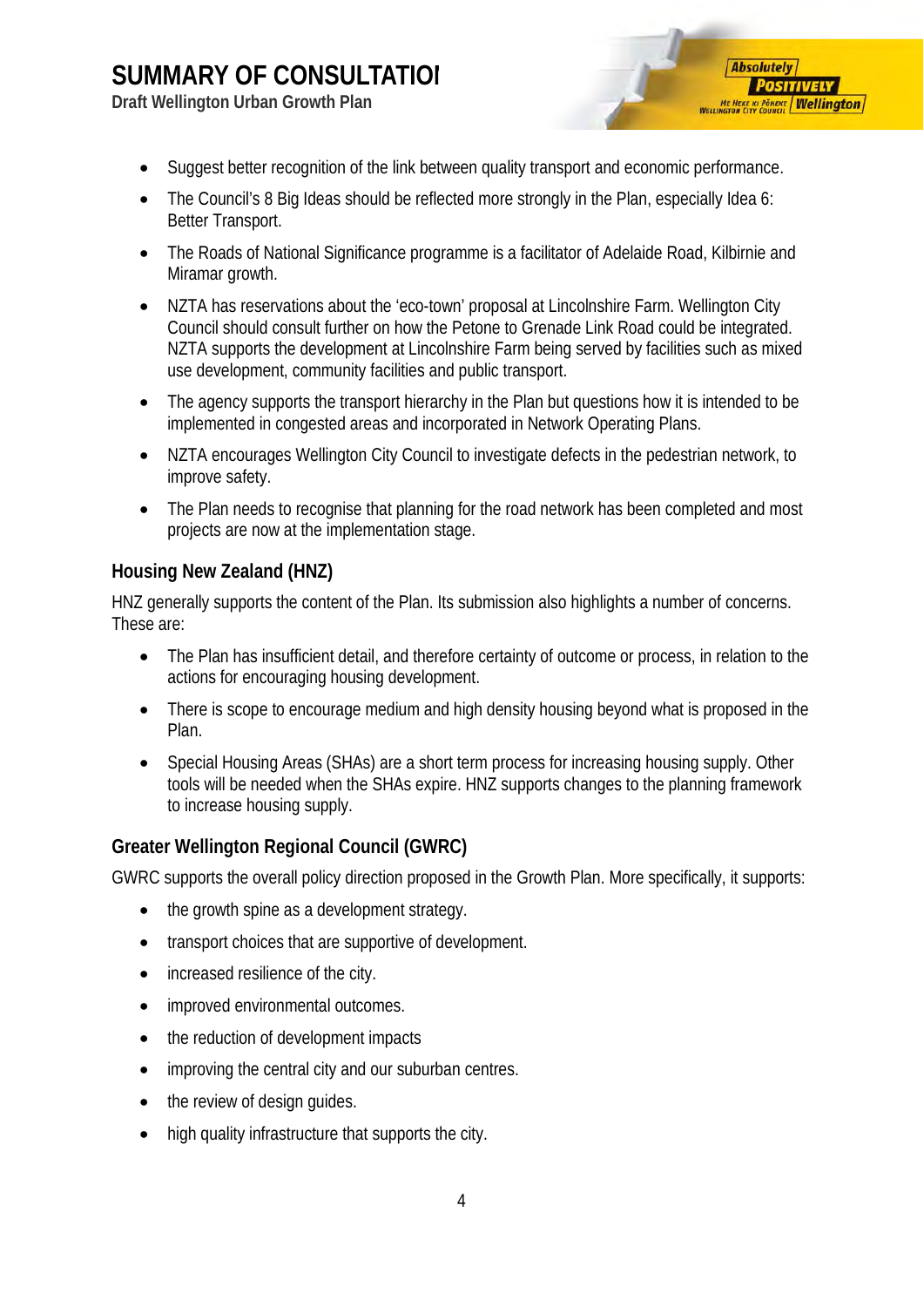**Draft Wellington Urban Growth Plan**

• Suggest better recognition of the link between quality transport and economic performance.

**Absolutely** 

**POSITIVELY ME HEKE KI PÖNEKE Wellington** 

- The Council's 8 Big Ideas should be reflected more strongly in the Plan, especially Idea 6: Better Transport.
- The Roads of National Significance programme is a facilitator of Adelaide Road, Kilbirnie and Miramar growth.
- NZTA has reservations about the 'eco-town' proposal at Lincolnshire Farm. Wellington City Council should consult further on how the Petone to Grenade Link Road could be integrated. NZTA supports the development at Lincolnshire Farm being served by facilities such as mixed use development, community facilities and public transport.
- The agency supports the transport hierarchy in the Plan but questions how it is intended to be implemented in congested areas and incorporated in Network Operating Plans.
- NZTA encourages Wellington City Council to investigate defects in the pedestrian network, to improve safety.
- The Plan needs to recognise that planning for the road network has been completed and most projects are now at the implementation stage.

#### <span id="page-5-0"></span>**Housing New Zealand (HNZ)**

HNZ generally supports the content of the Plan. Its submission also highlights a number of concerns. These are:

- The Plan has insufficient detail, and therefore certainty of outcome or process, in relation to the actions for encouraging housing development.
- There is scope to encourage medium and high density housing beyond what is proposed in the Plan.
- Special Housing Areas (SHAs) are a short term process for increasing housing supply. Other tools will be needed when the SHAs expire. HNZ supports changes to the planning framework to increase housing supply.

#### <span id="page-5-1"></span>**Greater Wellington Regional Council (GWRC)**

GWRC supports the overall policy direction proposed in the Growth Plan. More specifically, it supports:

- the growth spine as a development strategy.
- transport choices that are supportive of development.
- increased resilience of the city.
- improved environmental outcomes.
- the reduction of development impacts
- improving the central city and our suburban centres.
- the review of design quides.
- high quality infrastructure that supports the city.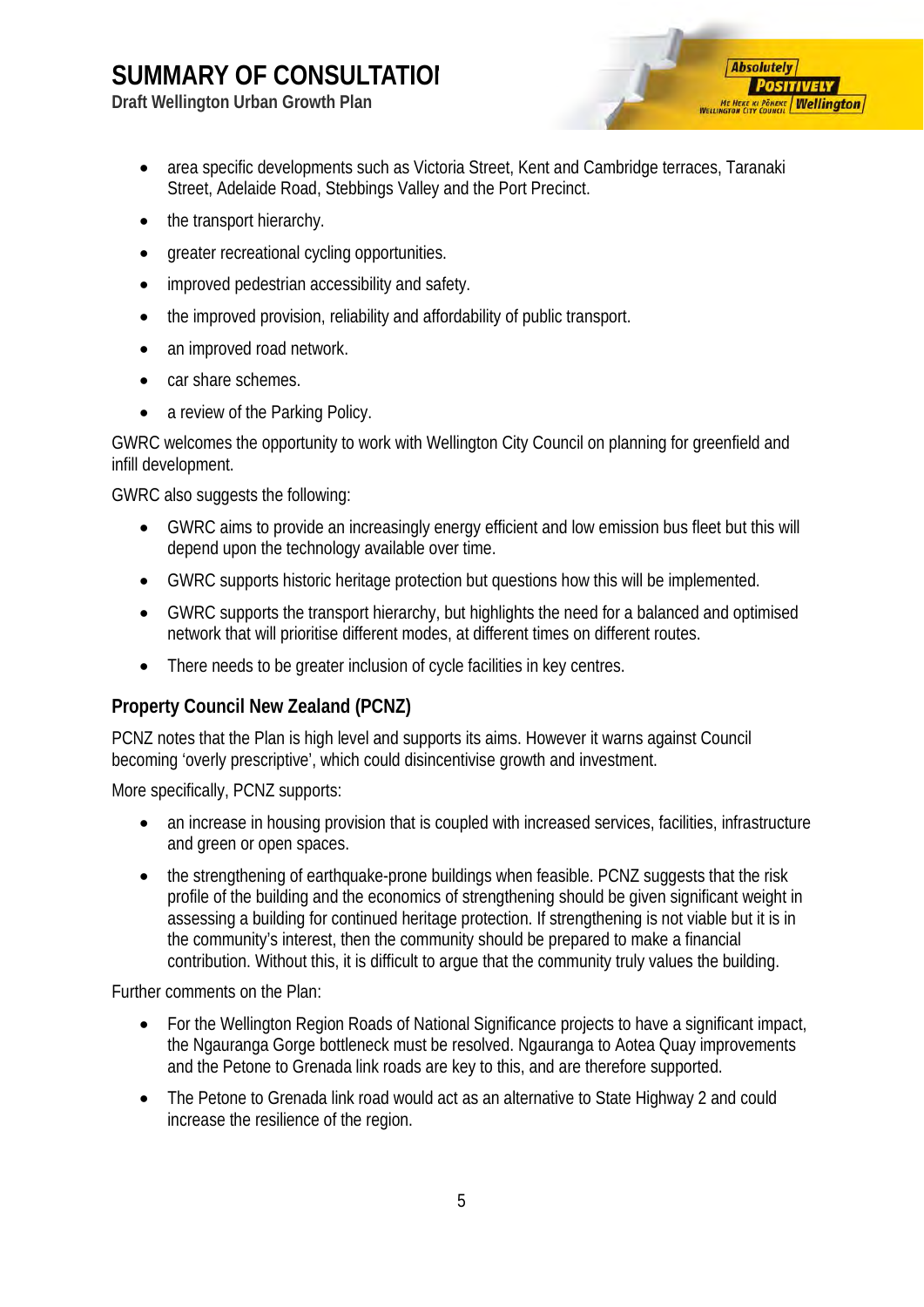**Draft Wellington Urban Growth Plan**



- area specific developments such as Victoria Street, Kent and Cambridge terraces, Taranaki Street, Adelaide Road, Stebbings Valley and the Port Precinct.
- the transport hierarchy.
- greater recreational cycling opportunities.
- improved pedestrian accessibility and safety.
- the improved provision, reliability and affordability of public transport.
- an improved road network.
- car share schemes.
- a review of the Parking Policy.

GWRC welcomes the opportunity to work with Wellington City Council on planning for greenfield and infill development.

GWRC also suggests the following:

- GWRC aims to provide an increasingly energy efficient and low emission bus fleet but this will depend upon the technology available over time.
- GWRC supports historic heritage protection but questions how this will be implemented.
- GWRC supports the transport hierarchy, but highlights the need for a balanced and optimised network that will prioritise different modes, at different times on different routes.
- There needs to be greater inclusion of cycle facilities in key centres.

#### <span id="page-6-0"></span>**Property Council New Zealand (PCNZ)**

PCNZ notes that the Plan is high level and supports its aims. However it warns against Council becoming 'overly prescriptive', which could disincentivise growth and investment.

More specifically, PCNZ supports:

- an increase in housing provision that is coupled with increased services, facilities, infrastructure and green or open spaces.
- the strengthening of earthquake-prone buildings when feasible. PCNZ suggests that the risk profile of the building and the economics of strengthening should be given significant weight in assessing a building for continued heritage protection. If strengthening is not viable but it is in the community's interest, then the community should be prepared to make a financial contribution. Without this, it is difficult to argue that the community truly values the building.

Further comments on the Plan:

- For the Wellington Region Roads of National Significance projects to have a significant impact, the Ngauranga Gorge bottleneck must be resolved. Ngauranga to Aotea Quay improvements and the Petone to Grenada link roads are key to this, and are therefore supported.
- The Petone to Grenada link road would act as an alternative to State Highway 2 and could increase the resilience of the region.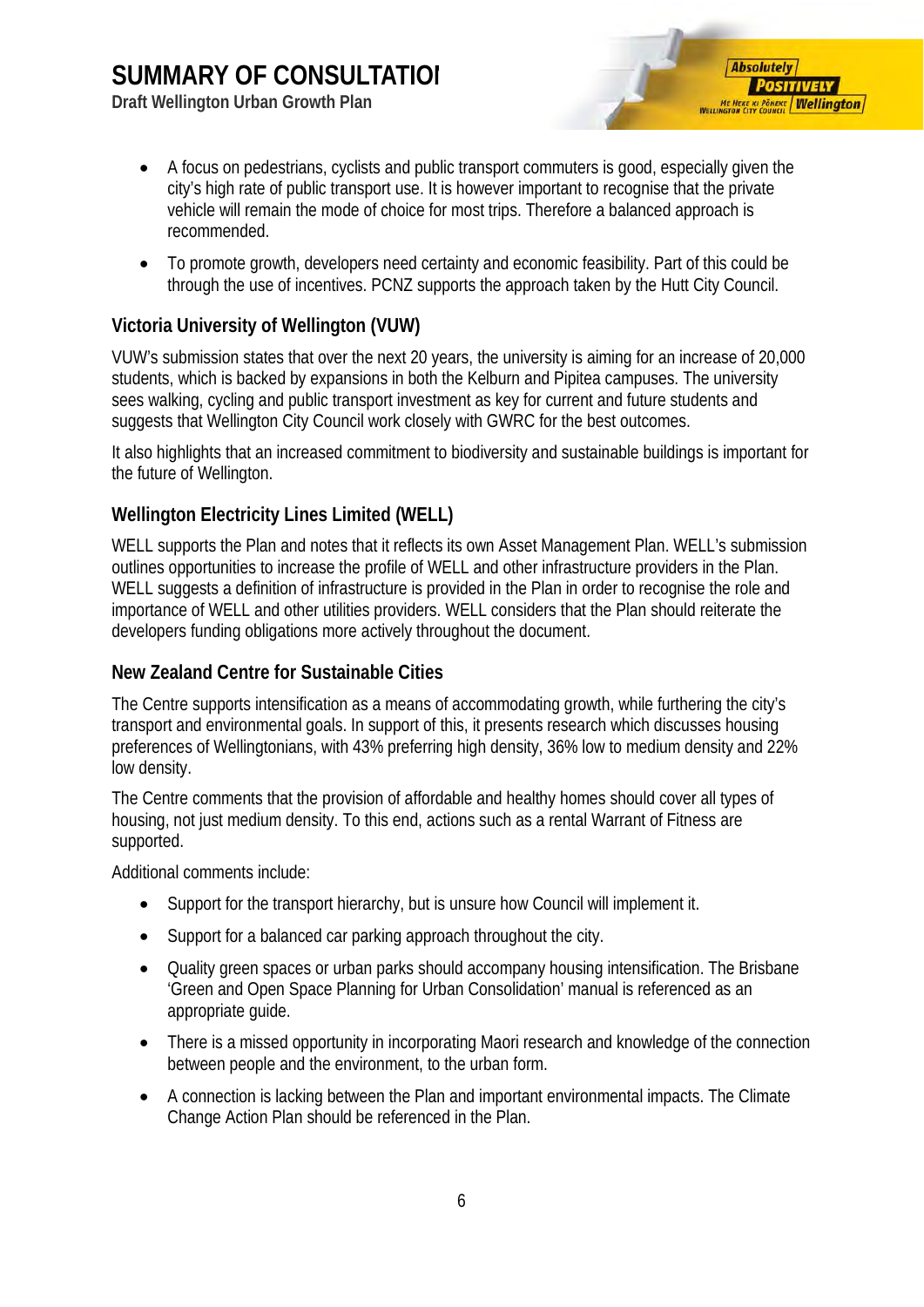**Draft Wellington Urban Growth Plan**



- A focus on pedestrians, cyclists and public transport commuters is good, especially given the city's high rate of public transport use. It is however important to recognise that the private vehicle will remain the mode of choice for most trips. Therefore a balanced approach is recommended.
- To promote growth, developers need certainty and economic feasibility. Part of this could be through the use of incentives. PCNZ supports the approach taken by the Hutt City Council.

#### <span id="page-7-0"></span>**Victoria University of Wellington (VUW)**

VUW's submission states that over the next 20 years, the university is aiming for an increase of 20,000 students, which is backed by expansions in both the Kelburn and Pipitea campuses. The university sees walking, cycling and public transport investment as key for current and future students and suggests that Wellington City Council work closely with GWRC for the best outcomes.

It also highlights that an increased commitment to biodiversity and sustainable buildings is important for the future of Wellington.

#### <span id="page-7-1"></span>**Wellington Electricity Lines Limited (WELL)**

WELL supports the Plan and notes that it reflects its own Asset Management Plan. WELL's submission outlines opportunities to increase the profile of WELL and other infrastructure providers in the Plan. WELL suggests a definition of infrastructure is provided in the Plan in order to recognise the role and importance of WELL and other utilities providers. WELL considers that the Plan should reiterate the developers funding obligations more actively throughout the document.

#### <span id="page-7-2"></span>**New Zealand Centre for Sustainable Cities**

The Centre supports intensification as a means of accommodating growth, while furthering the city's transport and environmental goals. In support of this, it presents research which discusses housing preferences of Wellingtonians, with 43% preferring high density, 36% low to medium density and 22% low density.

The Centre comments that the provision of affordable and healthy homes should cover all types of housing, not just medium density. To this end, actions such as a rental Warrant of Fitness are supported.

Additional comments include:

- Support for the transport hierarchy, but is unsure how Council will implement it.
- Support for a balanced car parking approach throughout the city.
- Quality green spaces or urban parks should accompany housing intensification. The Brisbane 'Green and Open Space Planning for Urban Consolidation' manual is referenced as an appropriate guide.
- There is a missed opportunity in incorporating Maori research and knowledge of the connection between people and the environment, to the urban form.
- A connection is lacking between the Plan and important environmental impacts. The Climate Change Action Plan should be referenced in the Plan.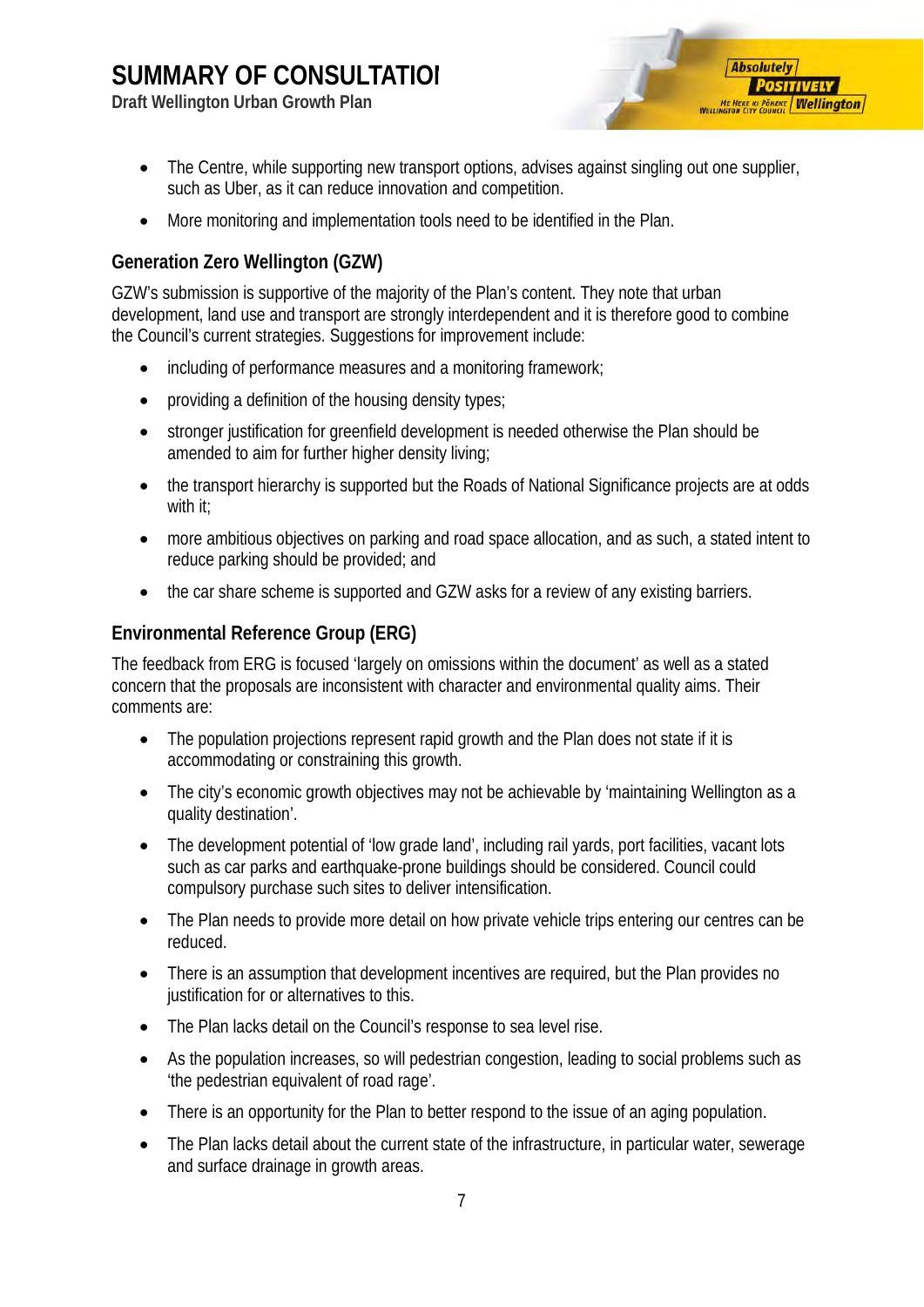**Draft Wellington Urban Growth Plan**



- The Centre, while supporting new transport options, advises against singling out one supplier, such as Uber, as it can reduce innovation and competition.
- More monitoring and implementation tools need to be identified in the Plan.

#### <span id="page-8-0"></span>**Generation Zero Wellington (GZW)**

GZW's submission is supportive of the majority of the Plan's content. They note that urban development, land use and transport are strongly interdependent and it is therefore good to combine the Council's current strategies. Suggestions for improvement include:

- including of performance measures and a monitoring framework;
- providing a definition of the housing density types;
- stronger justification for greenfield development is needed otherwise the Plan should be amended to aim for further higher density living;
- the transport hierarchy is supported but the Roads of National Significance projects are at odds with it;
- more ambitious objectives on parking and road space allocation, and as such, a stated intent to reduce parking should be provided; and
- the car share scheme is supported and GZW asks for a review of any existing barriers.

#### <span id="page-8-1"></span>**Environmental Reference Group (ERG)**

The feedback from ERG is focused 'largely on omissions within the document' as well as a stated concern that the proposals are inconsistent with character and environmental quality aims. Their comments are:

- The population projections represent rapid growth and the Plan does not state if it is accommodating or constraining this growth.
- The city's economic growth objectives may not be achievable by 'maintaining Wellington as a quality destination'.
- The development potential of 'low grade land', including rail yards, port facilities, vacant lots such as car parks and earthquake-prone buildings should be considered. Council could compulsory purchase such sites to deliver intensification.
- The Plan needs to provide more detail on how private vehicle trips entering our centres can be reduced.
- There is an assumption that development incentives are required, but the Plan provides no justification for or alternatives to this.
- The Plan lacks detail on the Council's response to sea level rise.
- As the population increases, so will pedestrian congestion, leading to social problems such as 'the pedestrian equivalent of road rage'.
- There is an opportunity for the Plan to better respond to the issue of an aging population.
- The Plan lacks detail about the current state of the infrastructure, in particular water, sewerage and surface drainage in growth areas.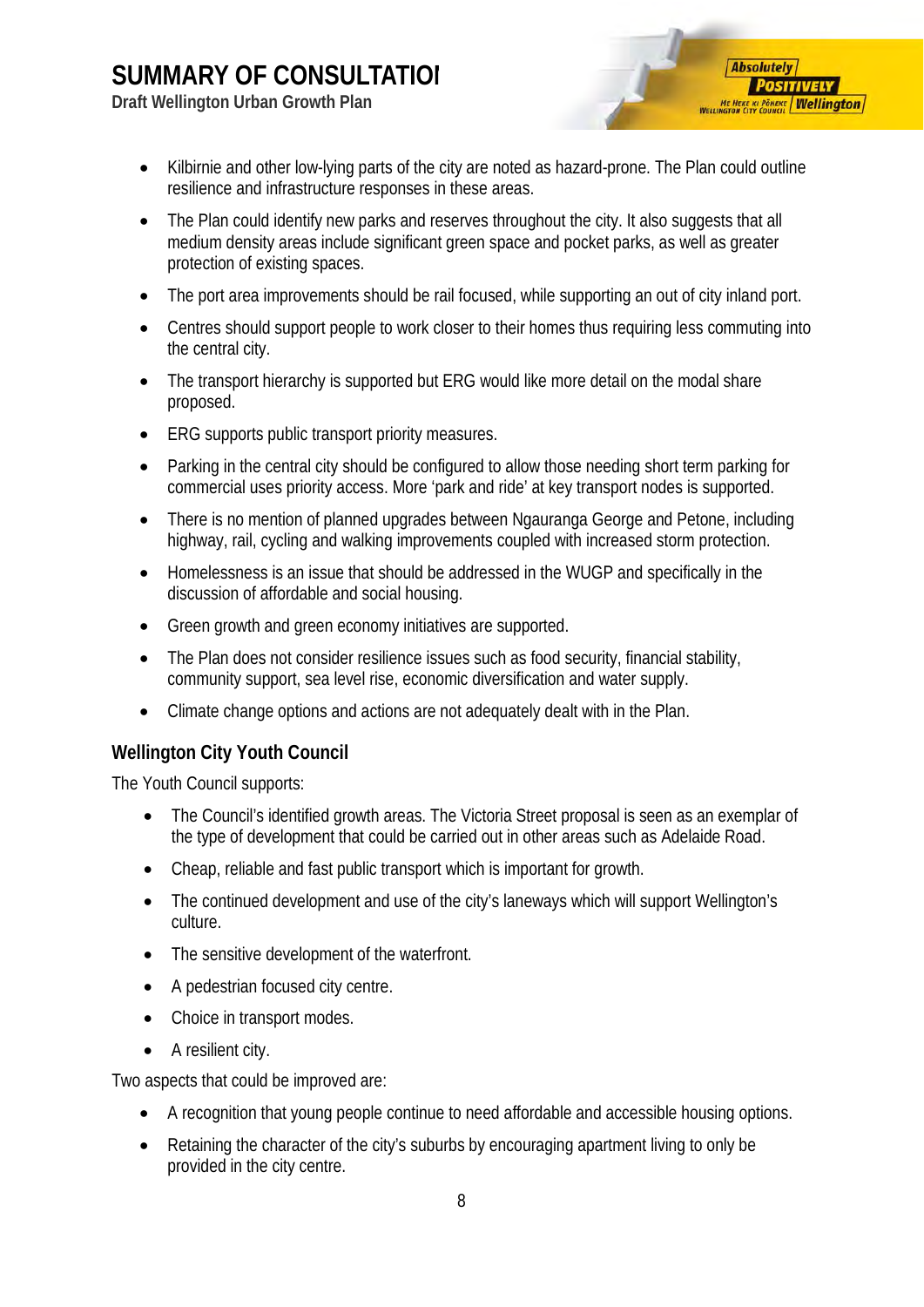**Draft Wellington Urban Growth Plan**



- Kilbirnie and other low-lying parts of the city are noted as hazard-prone. The Plan could outline resilience and infrastructure responses in these areas.
- The Plan could identify new parks and reserves throughout the city. It also suggests that all medium density areas include significant green space and pocket parks, as well as greater protection of existing spaces.
- The port area improvements should be rail focused, while supporting an out of city inland port.
- Centres should support people to work closer to their homes thus requiring less commuting into the central city.
- The transport hierarchy is supported but ERG would like more detail on the modal share proposed.
- ERG supports public transport priority measures.
- Parking in the central city should be configured to allow those needing short term parking for commercial uses priority access. More 'park and ride' at key transport nodes is supported.
- There is no mention of planned upgrades between Ngauranga George and Petone, including highway, rail, cycling and walking improvements coupled with increased storm protection.
- Homelessness is an issue that should be addressed in the WUGP and specifically in the discussion of affordable and social housing.
- Green growth and green economy initiatives are supported.
- The Plan does not consider resilience issues such as food security, financial stability, community support, sea level rise, economic diversification and water supply.
- Climate change options and actions are not adequately dealt with in the Plan.

#### <span id="page-9-0"></span>**Wellington City Youth Council**

The Youth Council supports:

- The Council's identified growth areas. The Victoria Street proposal is seen as an exemplar of the type of development that could be carried out in other areas such as Adelaide Road.
- Cheap, reliable and fast public transport which is important for growth.
- The continued development and use of the city's laneways which will support Wellington's culture.
- The sensitive development of the waterfront.
- A pedestrian focused city centre.
- Choice in transport modes.
- A resilient city.

Two aspects that could be improved are:

- A recognition that young people continue to need affordable and accessible housing options.
- Retaining the character of the city's suburbs by encouraging apartment living to only be provided in the city centre.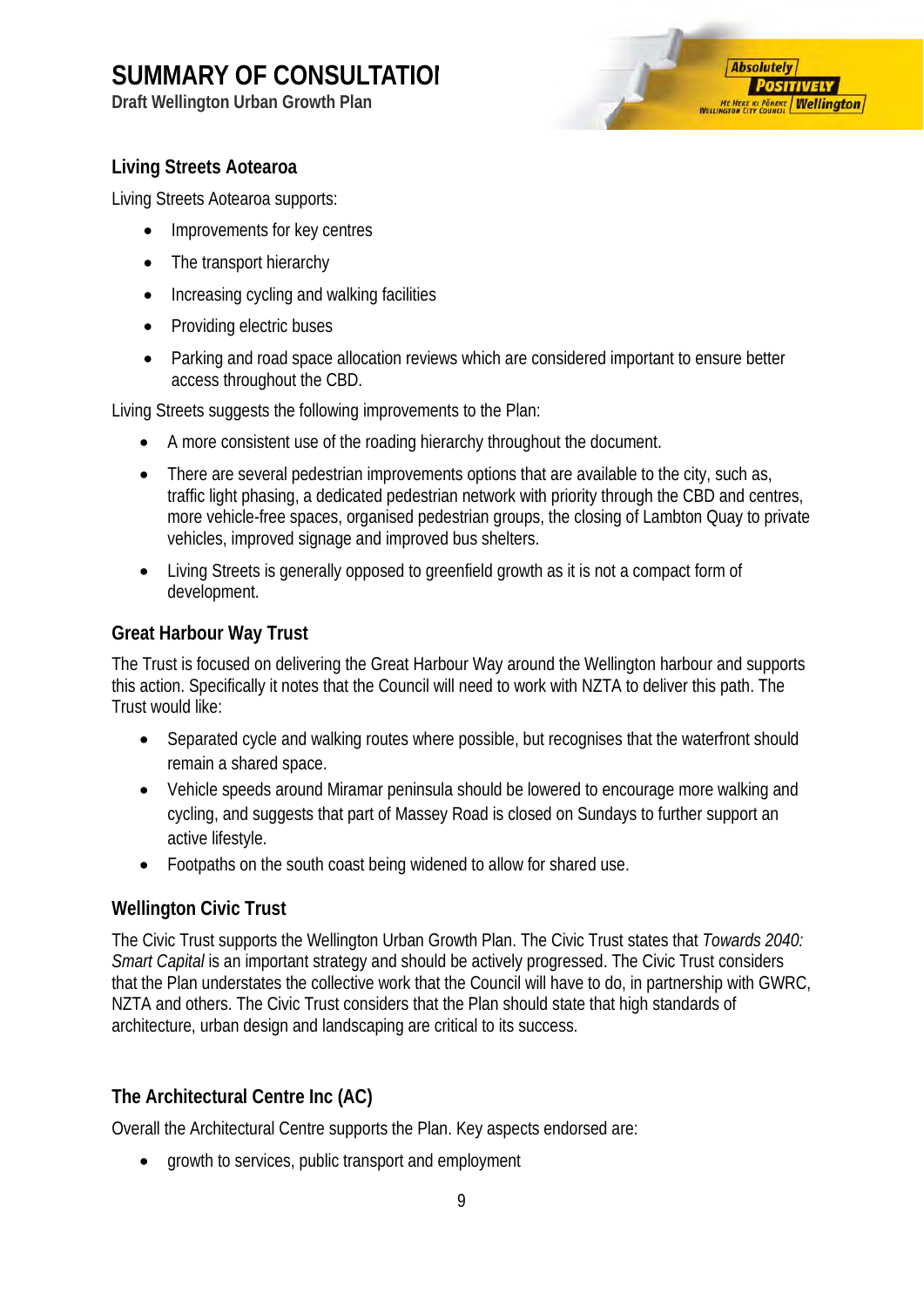**Draft Wellington Urban Growth Plan**



#### <span id="page-10-0"></span>**Living Streets Aotearoa**

Living Streets Aotearoa supports:

- Improvements for key centres
- The transport hierarchy
- Increasing cycling and walking facilities
- Providing electric buses
- Parking and road space allocation reviews which are considered important to ensure better access throughout the CBD.

Living Streets suggests the following improvements to the Plan:

- A more consistent use of the roading hierarchy throughout the document.
- There are several pedestrian improvements options that are available to the city, such as, traffic light phasing, a dedicated pedestrian network with priority through the CBD and centres, more vehicle-free spaces, organised pedestrian groups, the closing of Lambton Quay to private vehicles, improved signage and improved bus shelters.
- Living Streets is generally opposed to greenfield growth as it is not a compact form of development.

#### <span id="page-10-1"></span>**Great Harbour Way Trust**

The Trust is focused on delivering the Great Harbour Way around the Wellington harbour and supports this action. Specifically it notes that the Council will need to work with NZTA to deliver this path. The Trust would like:

- Separated cycle and walking routes where possible, but recognises that the waterfront should remain a shared space.
- Vehicle speeds around Miramar peninsula should be lowered to encourage more walking and cycling, and suggests that part of Massey Road is closed on Sundays to further support an active lifestyle.
- Footpaths on the south coast being widened to allow for shared use.

#### <span id="page-10-2"></span>**Wellington Civic Trust**

The Civic Trust supports the Wellington Urban Growth Plan. The Civic Trust states that *Towards 2040: Smart Capital* is an important strategy and should be actively progressed. The Civic Trust considers that the Plan understates the collective work that the Council will have to do, in partnership with GWRC, NZTA and others. The Civic Trust considers that the Plan should state that high standards of architecture, urban design and landscaping are critical to its success.

#### <span id="page-10-3"></span>**The Architectural Centre Inc (AC)**

Overall the Architectural Centre supports the Plan. Key aspects endorsed are:

• growth to services, public transport and employment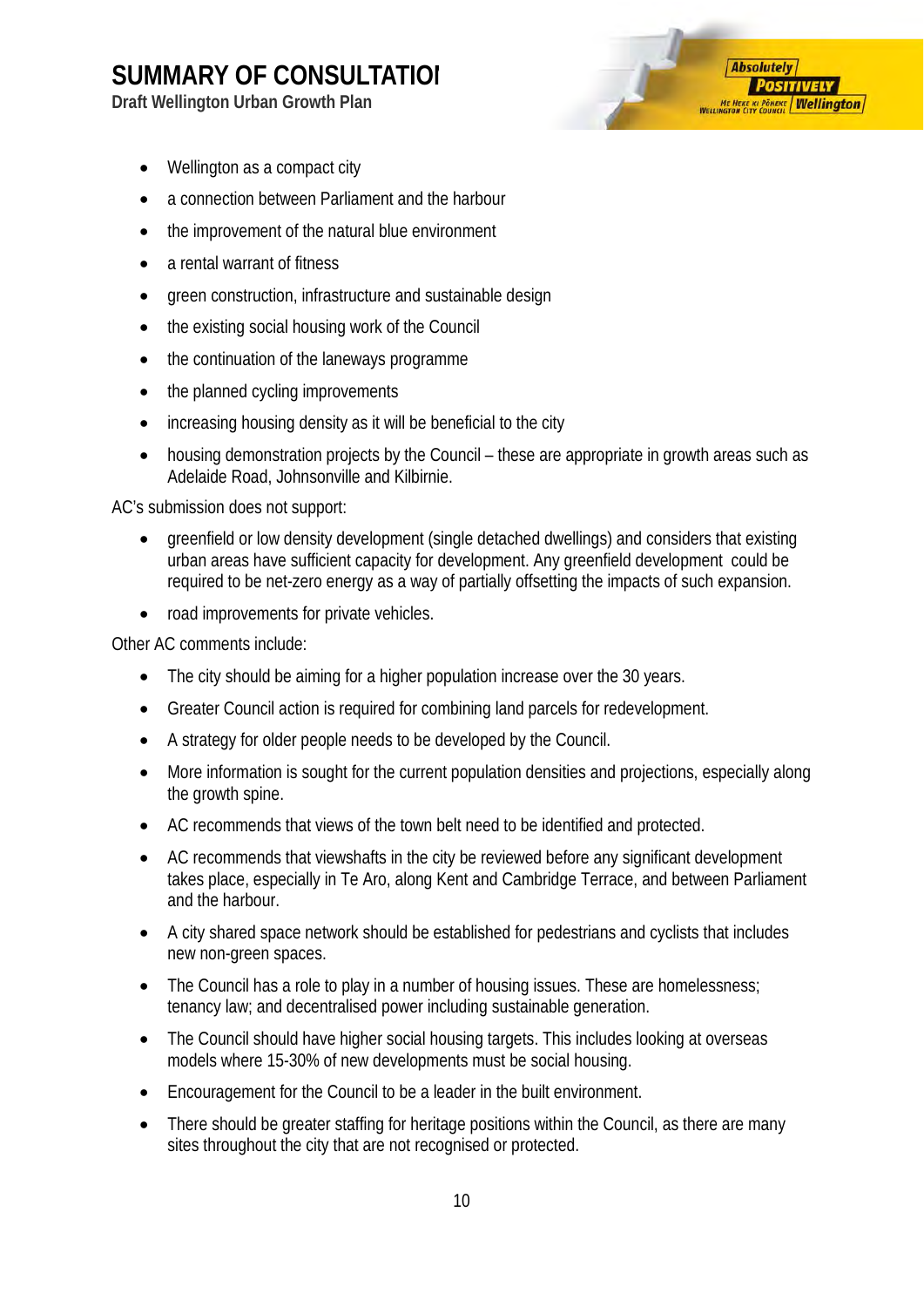**Draft Wellington Urban Growth Plan**



- Wellington as a compact city
- a connection between Parliament and the harbour
- the improvement of the natural blue environment
- a rental warrant of fitness
- green construction, infrastructure and sustainable design
- the existing social housing work of the Council
- the continuation of the laneways programme
- the planned cycling improvements
- increasing housing density as it will be beneficial to the city
- housing demonstration projects by the Council these are appropriate in growth areas such as Adelaide Road, Johnsonville and Kilbirnie.

AC's submission does not support:

- greenfield or low density development (single detached dwellings) and considers that existing urban areas have sufficient capacity for development. Any greenfield development could be required to be net-zero energy as a way of partially offsetting the impacts of such expansion.
- road improvements for private vehicles.

Other AC comments include:

- The city should be aiming for a higher population increase over the 30 years.
- Greater Council action is required for combining land parcels for redevelopment.
- A strategy for older people needs to be developed by the Council.
- More information is sought for the current population densities and projections, especially along the growth spine.
- AC recommends that views of the town belt need to be identified and protected.
- AC recommends that viewshafts in the city be reviewed before any significant development takes place, especially in Te Aro, along Kent and Cambridge Terrace, and between Parliament and the harbour.
- A city shared space network should be established for pedestrians and cyclists that includes new non-green spaces.
- The Council has a role to play in a number of housing issues. These are homelessness; tenancy law; and decentralised power including sustainable generation.
- The Council should have higher social housing targets. This includes looking at overseas models where 15-30% of new developments must be social housing.
- Encouragement for the Council to be a leader in the built environment.
- There should be greater staffing for heritage positions within the Council, as there are many sites throughout the city that are not recognised or protected.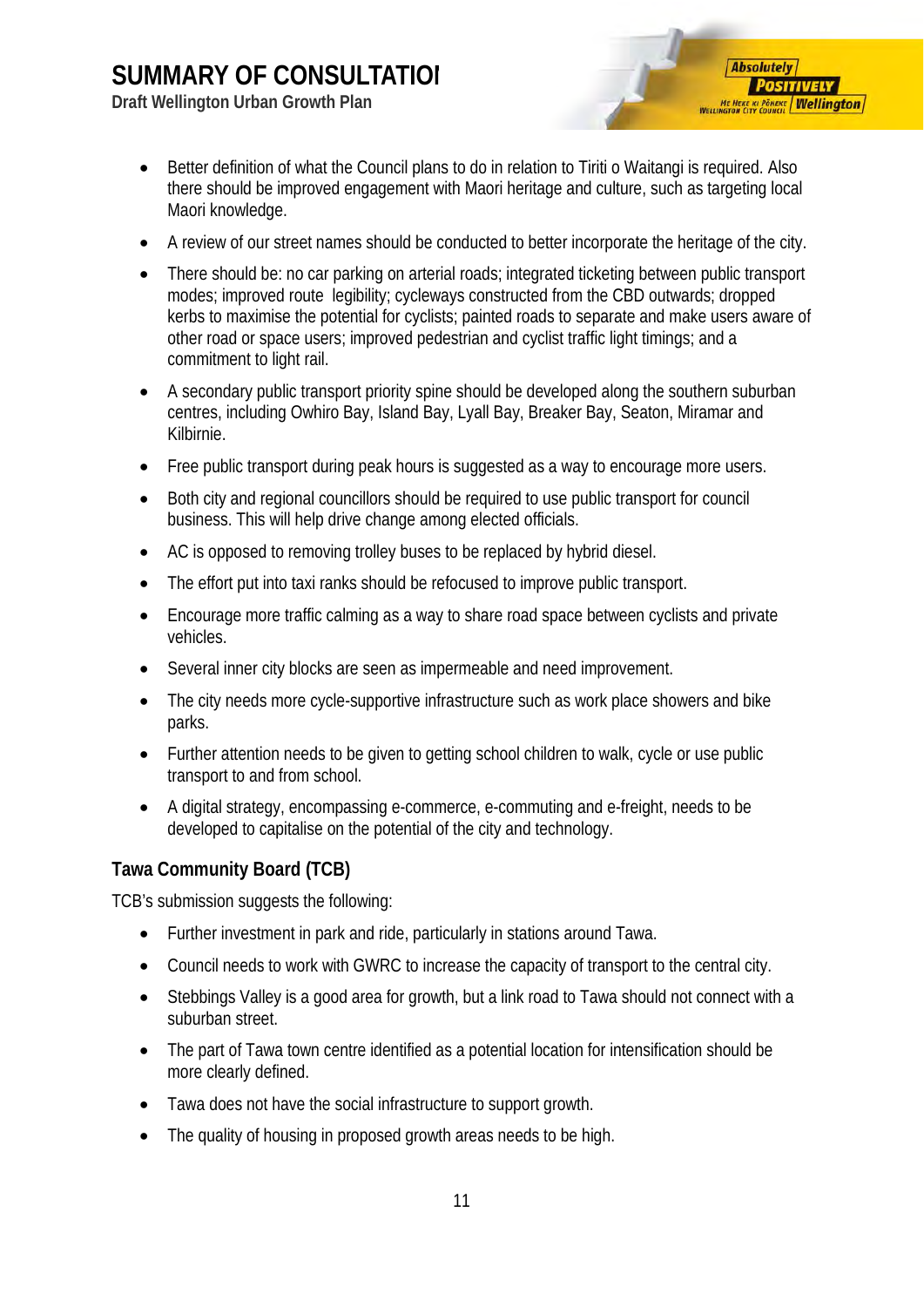**Draft Wellington Urban Growth Plan**

• Better definition of what the Council plans to do in relation to Tiriti o Waitangi is required. Also there should be improved engagement with Maori heritage and culture, such as targeting local Maori knowledge.

**Absolutely** 

**POSITIVELY ME HEKE KI PÖNEKE Wellington** 

- A review of our street names should be conducted to better incorporate the heritage of the city.
- There should be: no car parking on arterial roads; integrated ticketing between public transport modes; improved route legibility; cycleways constructed from the CBD outwards; dropped kerbs to maximise the potential for cyclists; painted roads to separate and make users aware of other road or space users; improved pedestrian and cyclist traffic light timings; and a commitment to light rail.
- A secondary public transport priority spine should be developed along the southern suburban centres, including Owhiro Bay, Island Bay, Lyall Bay, Breaker Bay, Seaton, Miramar and Kilbirnie.
- Free public transport during peak hours is suggested as a way to encourage more users.
- Both city and regional councillors should be required to use public transport for council business. This will help drive change among elected officials.
- AC is opposed to removing trolley buses to be replaced by hybrid diesel.
- The effort put into taxi ranks should be refocused to improve public transport.
- Encourage more traffic calming as a way to share road space between cyclists and private vehicles.
- Several inner city blocks are seen as impermeable and need improvement.
- The city needs more cycle-supportive infrastructure such as work place showers and bike parks.
- Further attention needs to be given to getting school children to walk, cycle or use public transport to and from school.
- A digital strategy, encompassing e-commerce, e-commuting and e-freight, needs to be developed to capitalise on the potential of the city and technology.

#### <span id="page-12-0"></span>**Tawa Community Board (TCB)**

TCB's submission suggests the following:

- Further investment in park and ride, particularly in stations around Tawa.
- Council needs to work with GWRC to increase the capacity of transport to the central city.
- Stebbings Valley is a good area for growth, but a link road to Tawa should not connect with a suburban street.
- The part of Tawa town centre identified as a potential location for intensification should be more clearly defined.
- Tawa does not have the social infrastructure to support growth.
- The quality of housing in proposed growth areas needs to be high.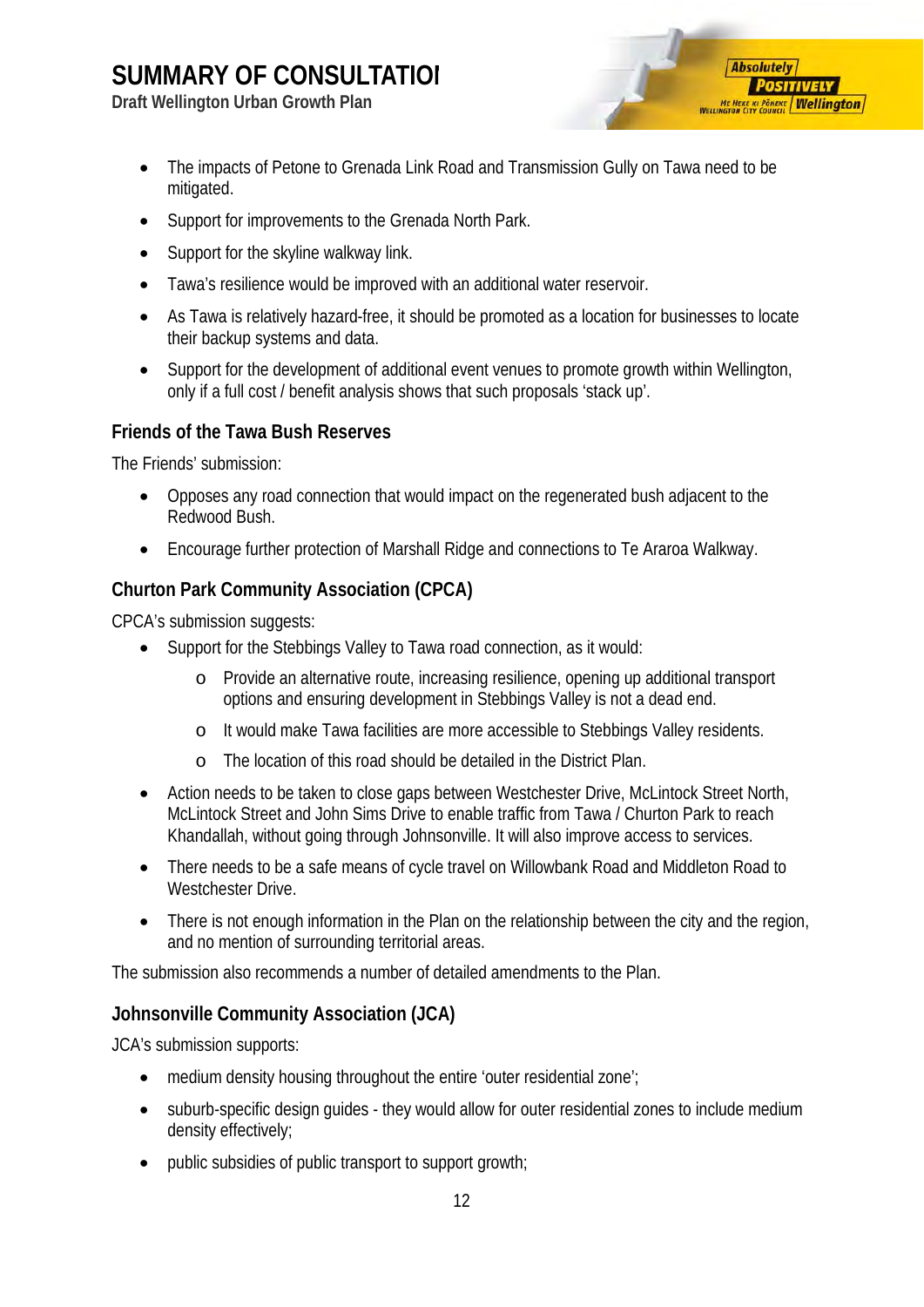**Draft Wellington Urban Growth Plan**

- **Absolutely POSITIVELY ME HEKE KI PÖNEKE Wellington**
- The impacts of Petone to Grenada Link Road and Transmission Gully on Tawa need to be mitigated.
- Support for improvements to the Grenada North Park.
- Support for the skyline walkway link.
- Tawa's resilience would be improved with an additional water reservoir.
- As Tawa is relatively hazard-free, it should be promoted as a location for businesses to locate their backup systems and data.
- Support for the development of additional event venues to promote growth within Wellington, only if a full cost / benefit analysis shows that such proposals 'stack up'.

#### <span id="page-13-0"></span>**Friends of the Tawa Bush Reserves**

The Friends' submission:

- Opposes any road connection that would impact on the regenerated bush adjacent to the Redwood Bush.
- Encourage further protection of Marshall Ridge and connections to Te Araroa Walkway.

#### <span id="page-13-1"></span>**Churton Park Community Association (CPCA)**

CPCA's submission suggests:

- Support for the Stebbings Valley to Tawa road connection, as it would:
	- o Provide an alternative route, increasing resilience, opening up additional transport options and ensuring development in Stebbings Valley is not a dead end.
	- o It would make Tawa facilities are more accessible to Stebbings Valley residents.
	- o The location of this road should be detailed in the District Plan.
- Action needs to be taken to close gaps between Westchester Drive, McLintock Street North, McLintock Street and John Sims Drive to enable traffic from Tawa / Churton Park to reach Khandallah, without going through Johnsonville. It will also improve access to services.
- There needs to be a safe means of cycle travel on Willowbank Road and Middleton Road to Westchester Drive.
- There is not enough information in the Plan on the relationship between the city and the region, and no mention of surrounding territorial areas.

The submission also recommends a number of detailed amendments to the Plan.

#### <span id="page-13-2"></span>**Johnsonville Community Association (JCA)**

JCA's submission supports:

- medium density housing throughout the entire 'outer residential zone';
- suburb-specific design guides they would allow for outer residential zones to include medium density effectively;
- public subsidies of public transport to support growth;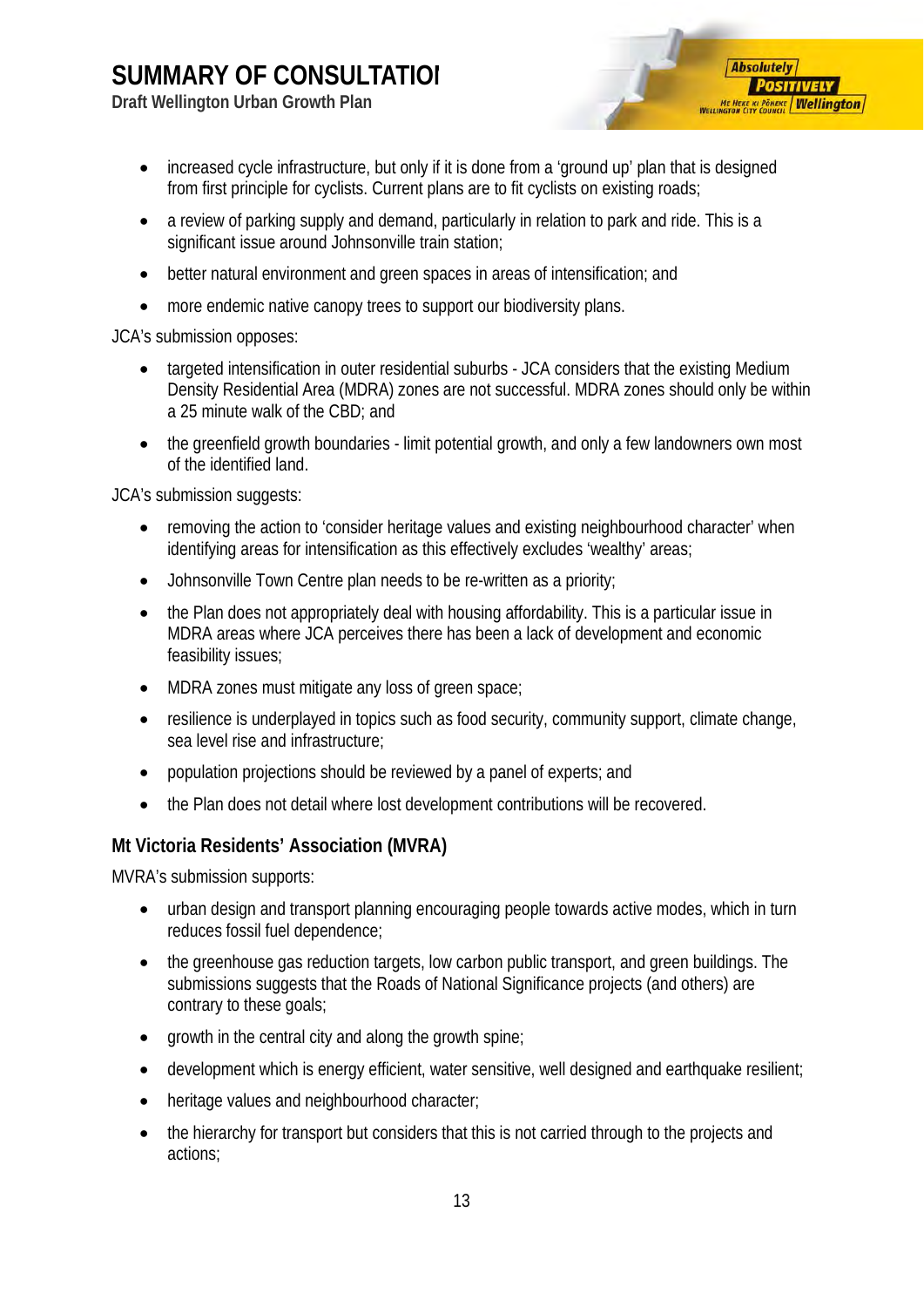**Draft Wellington Urban Growth Plan**



- increased cycle infrastructure, but only if it is done from a 'ground up' plan that is designed from first principle for cyclists. Current plans are to fit cyclists on existing roads;
- a review of parking supply and demand, particularly in relation to park and ride. This is a significant issue around Johnsonville train station;
- better natural environment and green spaces in areas of intensification; and
- more endemic native canopy trees to support our biodiversity plans.

JCA's submission opposes:

- targeted intensification in outer residential suburbs JCA considers that the existing Medium Density Residential Area (MDRA) zones are not successful. MDRA zones should only be within a 25 minute walk of the CBD; and
- the greenfield growth boundaries limit potential growth, and only a few landowners own most of the identified land.

JCA's submission suggests:

- removing the action to 'consider heritage values and existing neighbourhood character' when identifying areas for intensification as this effectively excludes 'wealthy' areas;
- Johnsonville Town Centre plan needs to be re-written as a priority;
- the Plan does not appropriately deal with housing affordability. This is a particular issue in MDRA areas where JCA perceives there has been a lack of development and economic feasibility issues;
- MDRA zones must mitigate any loss of green space;
- resilience is underplayed in topics such as food security, community support, climate change, sea level rise and infrastructure;
- population projections should be reviewed by a panel of experts; and
- the Plan does not detail where lost development contributions will be recovered.

#### <span id="page-14-0"></span>**Mt Victoria Residents' Association (MVRA)**

MVRA's submission supports:

- urban design and transport planning encouraging people towards active modes, which in turn reduces fossil fuel dependence;
- the greenhouse gas reduction targets, low carbon public transport, and green buildings. The submissions suggests that the Roads of National Significance projects (and others) are contrary to these goals;
- growth in the central city and along the growth spine;
- development which is energy efficient, water sensitive, well designed and earthquake resilient;
- heritage values and neighbourhood character;
- the hierarchy for transport but considers that this is not carried through to the projects and actions;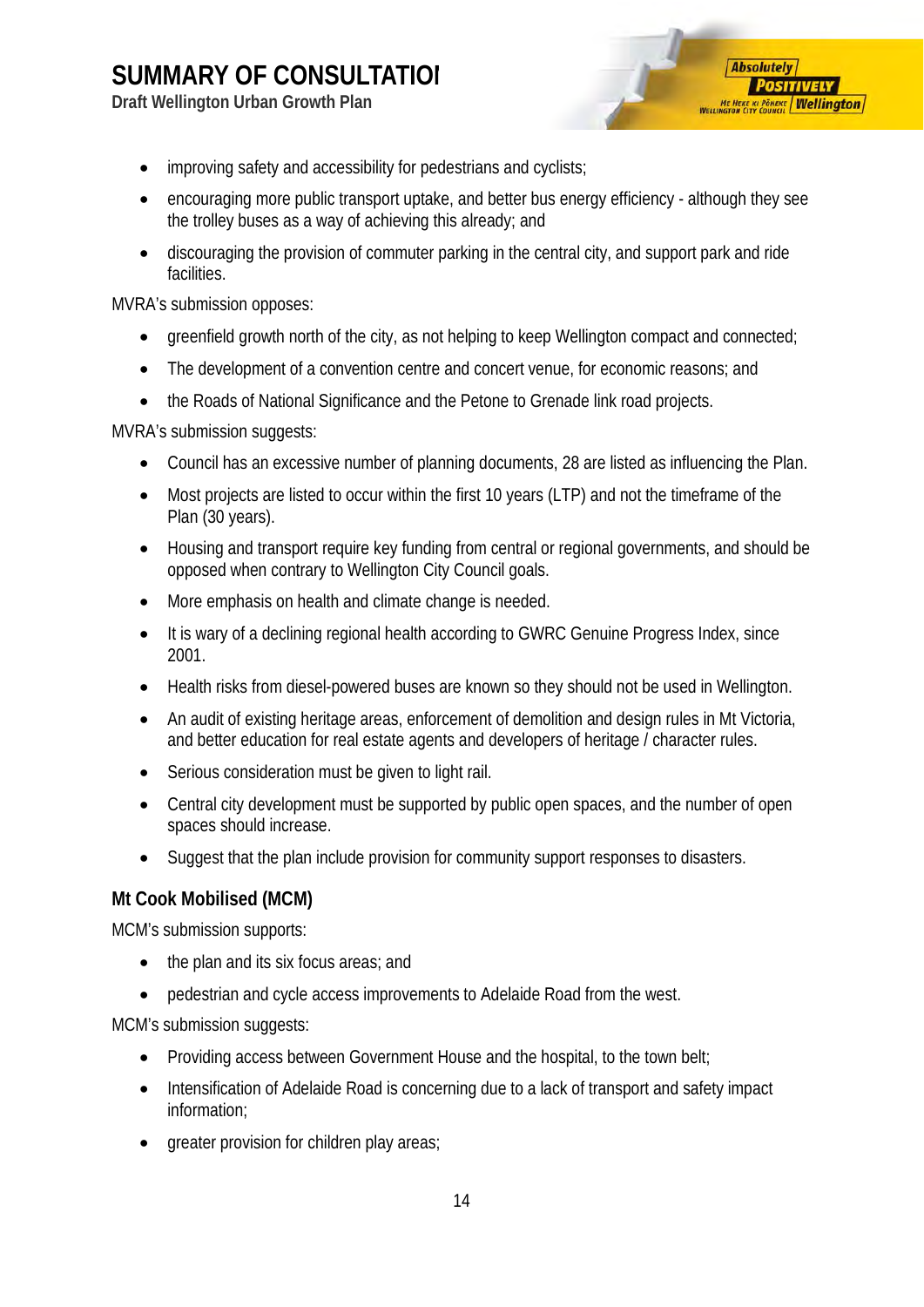**Draft Wellington Urban Growth Plan**



- improving safety and accessibility for pedestrians and cyclists;
- encouraging more public transport uptake, and better bus energy efficiency although they see the trolley buses as a way of achieving this already; and
- discouraging the provision of commuter parking in the central city, and support park and ride facilities.

MVRA's submission opposes:

- greenfield growth north of the city, as not helping to keep Wellington compact and connected;
- The development of a convention centre and concert venue, for economic reasons; and
- the Roads of National Significance and the Petone to Grenade link road projects.

MVRA's submission suggests:

- Council has an excessive number of planning documents, 28 are listed as influencing the Plan.
- Most projects are listed to occur within the first 10 years (LTP) and not the timeframe of the Plan (30 years).
- Housing and transport require key funding from central or regional governments, and should be opposed when contrary to Wellington City Council goals.
- More emphasis on health and climate change is needed.
- It is wary of a declining regional health according to GWRC Genuine Progress Index, since 2001.
- Health risks from diesel-powered buses are known so they should not be used in Wellington.
- An audit of existing heritage areas, enforcement of demolition and design rules in Mt Victoria, and better education for real estate agents and developers of heritage / character rules.
- Serious consideration must be given to light rail.
- Central city development must be supported by public open spaces, and the number of open spaces should increase.
- Suggest that the plan include provision for community support responses to disasters.

#### <span id="page-15-0"></span>**Mt Cook Mobilised (MCM)**

MCM's submission supports:

- the plan and its six focus areas; and
- pedestrian and cycle access improvements to Adelaide Road from the west.

MCM's submission suggests:

- Providing access between Government House and the hospital, to the town belt;
- Intensification of Adelaide Road is concerning due to a lack of transport and safety impact information;
- greater provision for children play areas;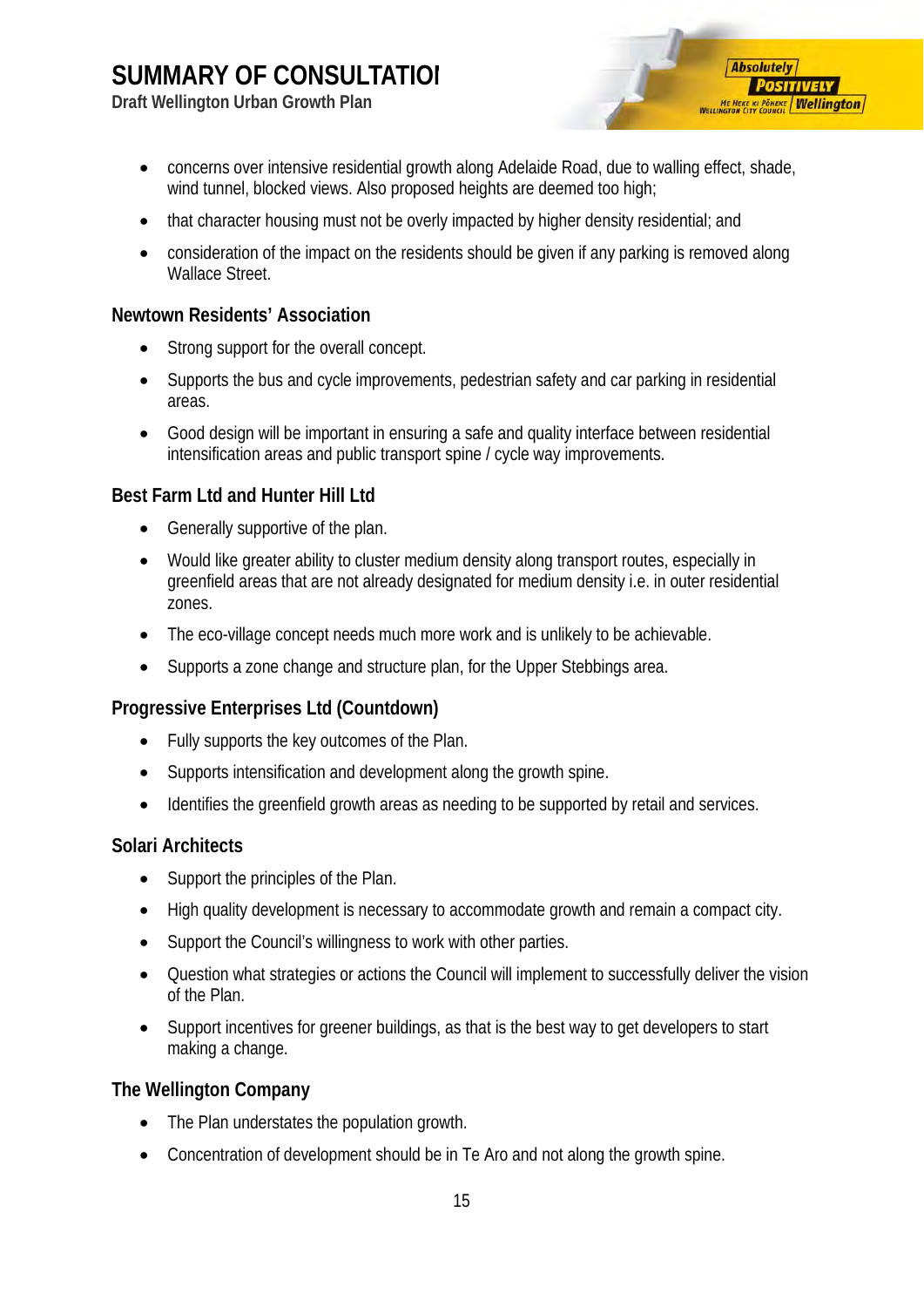**Draft Wellington Urban Growth Plan**



- concerns over intensive residential growth along Adelaide Road, due to walling effect, shade, wind tunnel, blocked views. Also proposed heights are deemed too high;
- that character housing must not be overly impacted by higher density residential; and
- consideration of the impact on the residents should be given if any parking is removed along Wallace Street.

#### <span id="page-16-0"></span>**Newtown Residents' Association**

- Strong support for the overall concept.
- Supports the bus and cycle improvements, pedestrian safety and car parking in residential areas.
- Good design will be important in ensuring a safe and quality interface between residential intensification areas and public transport spine / cycle way improvements.

#### <span id="page-16-1"></span>**Best Farm Ltd and Hunter Hill Ltd**

- Generally supportive of the plan.
- Would like greater ability to cluster medium density along transport routes, especially in greenfield areas that are not already designated for medium density i.e. in outer residential zones.
- The eco-village concept needs much more work and is unlikely to be achievable.
- Supports a zone change and structure plan, for the Upper Stebbings area.

#### <span id="page-16-2"></span>**Progressive Enterprises Ltd (Countdown)**

- Fully supports the key outcomes of the Plan.
- Supports intensification and development along the growth spine.
- Identifies the greenfield growth areas as needing to be supported by retail and services.

#### <span id="page-16-3"></span>**Solari Architects**

- Support the principles of the Plan.
- High quality development is necessary to accommodate growth and remain a compact city.
- Support the Council's willingness to work with other parties.
- Question what strategies or actions the Council will implement to successfully deliver the vision of the Plan.
- Support incentives for greener buildings, as that is the best way to get developers to start making a change.

#### <span id="page-16-4"></span>**The Wellington Company**

- The Plan understates the population growth.
- Concentration of development should be in Te Aro and not along the growth spine.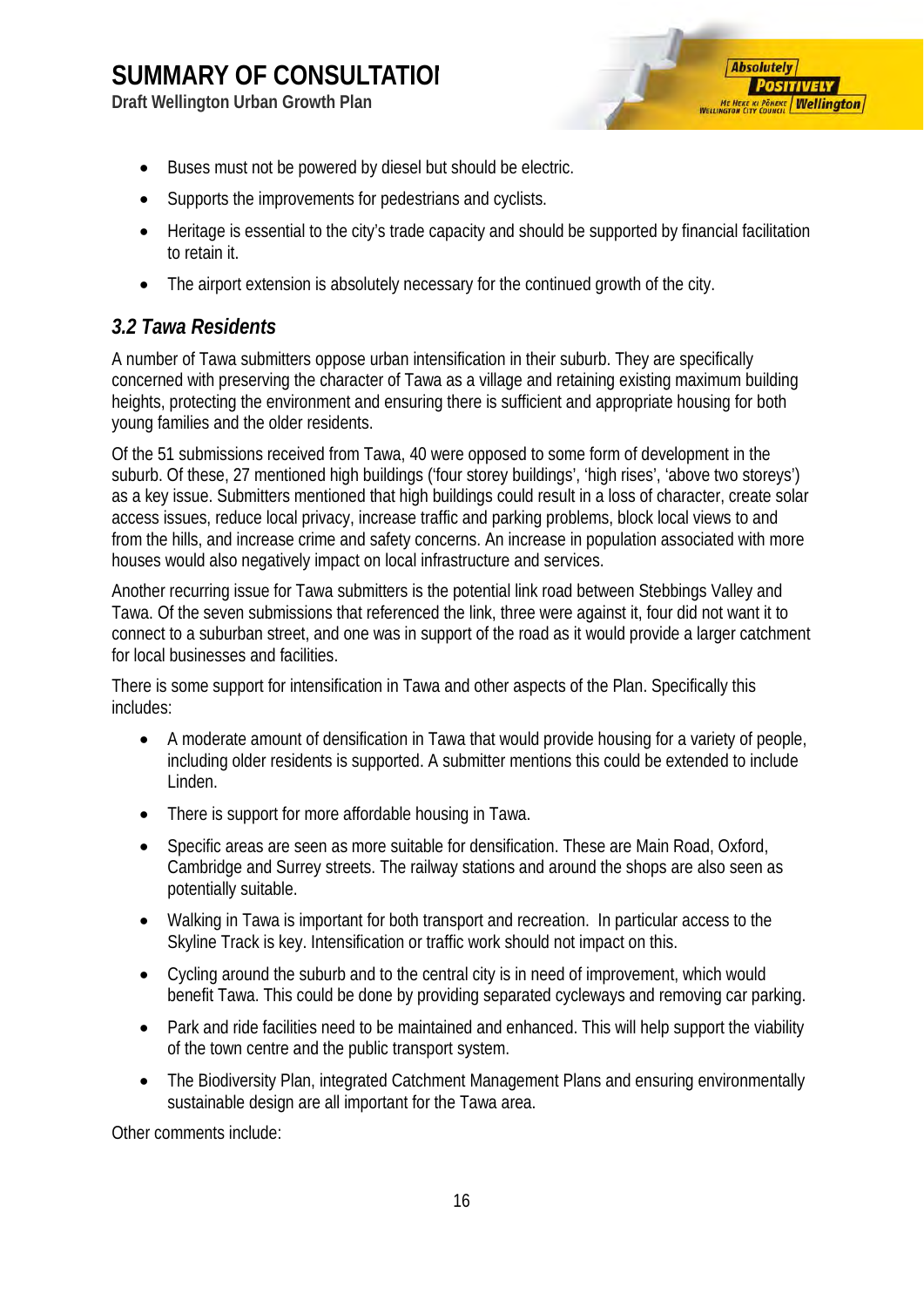**Draft Wellington Urban Growth Plan**



- Buses must not be powered by diesel but should be electric.
- Supports the improvements for pedestrians and cyclists.
- Heritage is essential to the city's trade capacity and should be supported by financial facilitation to retain it.
- The airport extension is absolutely necessary for the continued growth of the city.

#### <span id="page-17-0"></span>*3.2 Tawa Residents*

A number of Tawa submitters oppose urban intensification in their suburb. They are specifically concerned with preserving the character of Tawa as a village and retaining existing maximum building heights, protecting the environment and ensuring there is sufficient and appropriate housing for both young families and the older residents.

Of the 51 submissions received from Tawa, 40 were opposed to some form of development in the suburb. Of these, 27 mentioned high buildings ('four storey buildings', 'high rises', 'above two storeys') as a key issue. Submitters mentioned that high buildings could result in a loss of character, create solar access issues, reduce local privacy, increase traffic and parking problems, block local views to and from the hills, and increase crime and safety concerns. An increase in population associated with more houses would also negatively impact on local infrastructure and services.

Another recurring issue for Tawa submitters is the potential link road between Stebbings Valley and Tawa. Of the seven submissions that referenced the link, three were against it, four did not want it to connect to a suburban street, and one was in support of the road as it would provide a larger catchment for local businesses and facilities.

There is some support for intensification in Tawa and other aspects of the Plan. Specifically this includes:

- A moderate amount of densification in Tawa that would provide housing for a variety of people, including older residents is supported. A submitter mentions this could be extended to include Linden.
- There is support for more affordable housing in Tawa.
- Specific areas are seen as more suitable for densification. These are Main Road, Oxford, Cambridge and Surrey streets. The railway stations and around the shops are also seen as potentially suitable.
- Walking in Tawa is important for both transport and recreation. In particular access to the Skyline Track is key. Intensification or traffic work should not impact on this.
- Cycling around the suburb and to the central city is in need of improvement, which would benefit Tawa. This could be done by providing separated cycleways and removing car parking.
- Park and ride facilities need to be maintained and enhanced. This will help support the viability of the town centre and the public transport system.
- The Biodiversity Plan, integrated Catchment Management Plans and ensuring environmentally sustainable design are all important for the Tawa area.

Other comments include: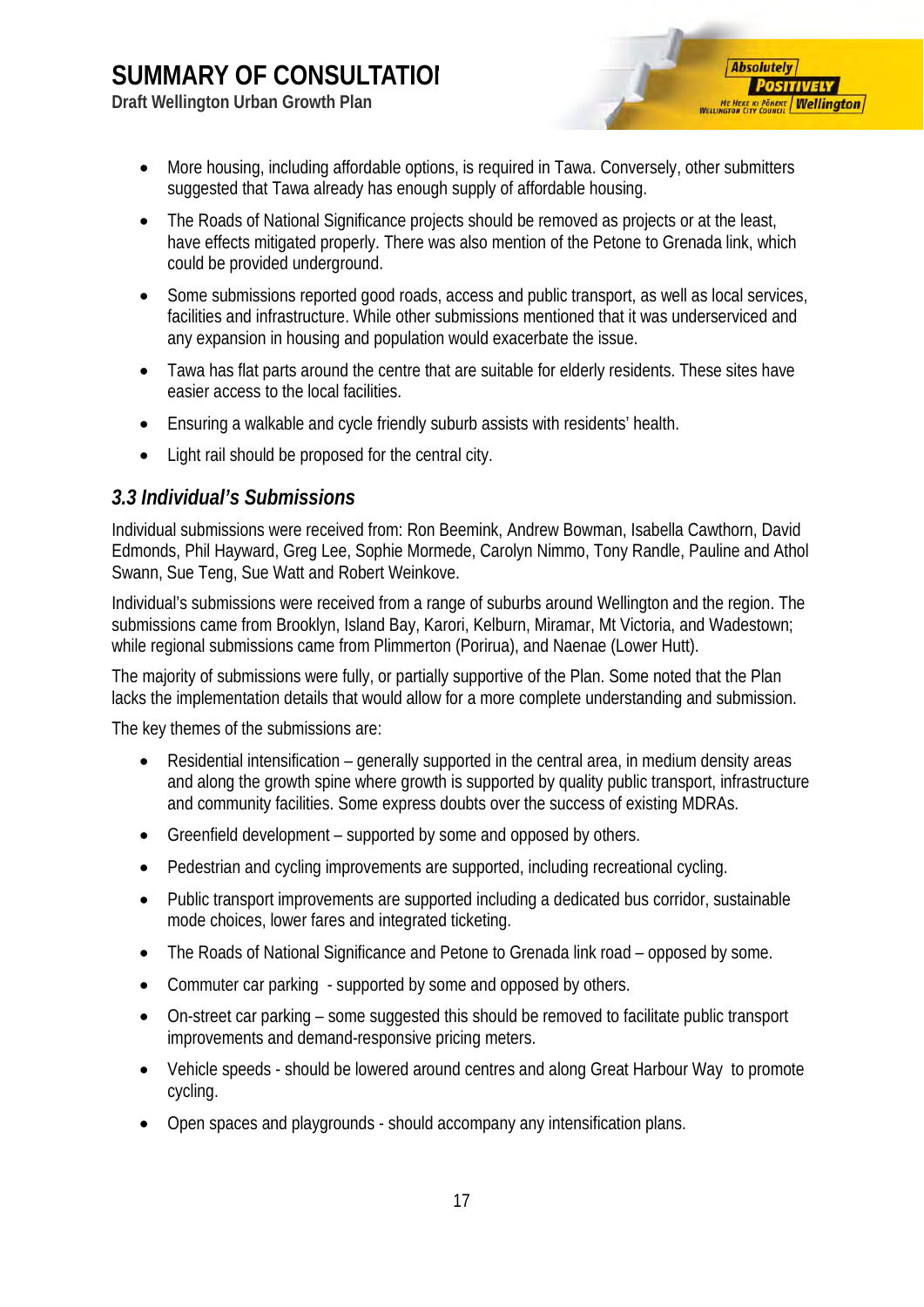**Draft Wellington Urban Growth Plan**



- More housing, including affordable options, is required in Tawa. Conversely, other submitters suggested that Tawa already has enough supply of affordable housing.
- The Roads of National Significance projects should be removed as projects or at the least, have effects mitigated properly. There was also mention of the Petone to Grenada link, which could be provided underground.
- Some submissions reported good roads, access and public transport, as well as local services, facilities and infrastructure. While other submissions mentioned that it was underserviced and any expansion in housing and population would exacerbate the issue.
- Tawa has flat parts around the centre that are suitable for elderly residents. These sites have easier access to the local facilities.
- Ensuring a walkable and cycle friendly suburb assists with residents' health.
- Light rail should be proposed for the central city.

#### <span id="page-18-0"></span>*3.3 Individual's Submissions*

Individual submissions were received from: Ron Beemink, Andrew Bowman, Isabella Cawthorn, David Edmonds, Phil Hayward, Greg Lee, Sophie Mormede, Carolyn Nimmo, Tony Randle, Pauline and Athol Swann, Sue Teng, Sue Watt and Robert Weinkove.

Individual's submissions were received from a range of suburbs around Wellington and the region. The submissions came from Brooklyn, Island Bay, Karori, Kelburn, Miramar, Mt Victoria, and Wadestown; while regional submissions came from Plimmerton (Porirua), and Naenae (Lower Hutt).

The majority of submissions were fully, or partially supportive of the Plan. Some noted that the Plan lacks the implementation details that would allow for a more complete understanding and submission.

The key themes of the submissions are:

- Residential intensification generally supported in the central area, in medium density areas and along the growth spine where growth is supported by quality public transport, infrastructure and community facilities. Some express doubts over the success of existing MDRAs.
- Greenfield development supported by some and opposed by others.
- Pedestrian and cycling improvements are supported, including recreational cycling.
- Public transport improvements are supported including a dedicated bus corridor, sustainable mode choices, lower fares and integrated ticketing.
- The Roads of National Significance and Petone to Grenada link road opposed by some.
- Commuter car parking supported by some and opposed by others.
- On-street car parking some suggested this should be removed to facilitate public transport improvements and demand-responsive pricing meters.
- Vehicle speeds should be lowered around centres and along Great Harbour Way to promote cycling.
- Open spaces and playgrounds should accompany any intensification plans.